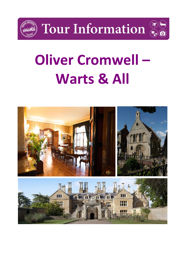

Tour Information



## **Oliver Cromwell – Warts & All**

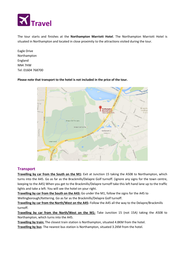

The tour starts and finishes at the **Northampton Marriott Hotel**. The Northampton Marriott Hotel is situated in Northampton and located in close proximity to the attractions visited during the tour.

Eagle Drive Northampton England NN4 7HW Tel: 01604 768700

**Please note that transport to the hotel is not included in the price of the tour.** 



#### **Transport**

**Travelling by car from the South on the M1:** Exit at Junction 15 taking the A508 to Northampton, which turns into the A45. Go as far as the Brackmills/Delapre Golf turnoff. (ignore any signs for the town centre, keeping to the A45) When you get to the Brackmills/Delapre turnoff take this left hand lane up to the traffic lights and take a left. You will see the hotel on your right.

**Travelling by car from the South on the A43:** Go under the M1, follow the signs for the A45 to Wellingborough/Kettering. Go as far as the Brackmills/Delapre Golf turnoff.

**Travelling by car from the North/West on the A45:** Follow the A45 all the way to the Delapre/Brackmills turnoff.

**Travelling by car from the North/West on the M1:** Take Junction 15 (not 15A) taking the A508 to Northampton, which turns into the A45.

**Travelling by train:** The closest train station is Northampton, situated 4.8KM from the hotel.

**Travelling by bus**: The nearest bus station is Northampton, situated 3.2KM from the hotel.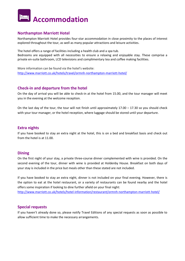### **Accommodation**

#### **Northampton Marriott Hotel**

Northampton Marriott Hotel provides four-star accommodation in close proximity to the places of interest explored throughout the tour, as well as many popular attractions and leisure activities.

The hotel offers a range of facilities including a health club and a spa tub. Bedrooms are equipped with all necessities to ensure a relaxing and enjoyable stay. These comprise a private en-suite bathroom, LCD televisions and complimentary tea and coffee making facilities.

More information can be found via the hotel's website: <http://www.marriott.co.uk/hotels/travel/ormnh-northampton-marriott-hotel/>

#### **Check-in and departure from the hotel**

On the day of arrival you will be able to check-in at the hotel from 15.00, and the tour manager will meet you in the evening at the welcome reception.

On the last day of the tour, the tour will not finish until approximately  $17.00 - 17.30$  so you should check with your tour manager, or the hotel reception, where luggage should be stored until your departure.

#### **Extra nights**

If you have booked to stay an extra night at the hotel, this is on a bed and breakfast basis and check out from the hotel is at 11.00.

#### **Dining**

On the first night of your stay, a private three-course dinner complemented with wine is provided. On the second evening of the tour, dinner with wine is provided at Holdenby House. Breakfast on both days of your stay is included in the price but meals other than these stated are not included.

If you have booked to stay an extra night, dinner is not included on your final evening. However, there is the option to eat at the hotel restaurant, or a variety of restaurants can be found nearby and the hotel offers some inspiration if looking to dine further afield on your final night:

<http://www.marriott.co.uk/hotels/hotel-information/restaurant/ormnh-northampton-marriott-hotel/>

#### **Special requests**

If you haven't already done so, please notify Travel Editions of any special requests as soon as possible to allow sufficient time to make the necessary arrangements.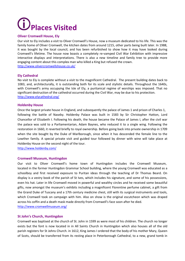# **Places Visited**

#### **Oliver Cromwell House, Ely**

Our visit to Ely includes a visit to Oliver Cromwell's House, now a museum dedicated to his life. This was the family home of Oliver Cromwell, the kitchen dates from around 1215, other parts being built later. In 1988, it was bought by the local council, and has been refurbished to show how it may have looked during Cromwell's lifetime. The house now boasts a completely re-vamped Civil War Exhibition with impressive interactive displays and interpretations. There is also a new timeline and family tree to provide more engaging content about this complex man who killed a King but refused the crown. <http://www.olivercromwellshouse.co.uk/>

#### **Ely Cathedral**

No visit to Ely is complete without a visit to the magnificent Cathedral. The present building dates back to 1083, and, architecturally, it is outstanding both for its scale and stylistic details. Throughout the 1640s, with Cromwell's army occupying the Isle of Ely, a puritanical regime of worships was imposed. That no significant destruction of the cathedral occurred during the Civil War, may be due to his protection. <http://www.elycathedral.org/>

#### **Holdenby House**

Once the largest private house in England, and subsequently the palace of James 1 and prison of Charles 1, following the battle of Naseby. Holdenby Palace was built in 1583 by Sir Christopher Hatton, Lord Chancellor of Elizabeth I. Following his death, the house became the Palace of James I, after the civil war the palace was sold to a Parliamentarian, Adam Baynes, who reduced it to a single wing. Following the restoration in 1660, it reverted briefly to royal ownership. Before going back into private ownership in 1709 when the site bought by the Duke of Marlborough, since when it has descended the female line to the Lowther family. A special private visit and guided tour followed by dinner with wine will take place at Holdenby House on the second night of the tour.

<http://www.holdenby.com/>

#### **Cromwell Museum, Huntingdon**

Our visit to Oliver Cromwell's home town of Huntingdon includes the Cromwell Museum, located in the former Huntingdon Grammar School building, where the young Cromwell was educated as a schoolboy and first received exposure to Puritan ideas through the teaching of Dr Thomas Beard. On display is a vestry book of the parish of St Ives, which includes his signature, and some of his possessions, even his hat. Later in life Cromwell moved in powerful and wealthy circles and he received some beautiful gifts, now amongst the museum's exhibits including a magnificent Florentine perfume cabinet, a gift from the Grand Duke of Tuscany and a 17th century medicine chest, still with its surgical instruments and tools, which Cromwell took on campaign with him. Also on show is the original escutcheon which was draped across his coffin and a death mask made directly from Cromwell's face soon after he died. <http://www.cromwellmuseum.org/>

#### **St John's Church, Huntingdon**

Cromwell was baptised at the church of St. John in 1599 as were most of his children. The church no longer exists but the font is now located in in All Saints Church in Huntingdon which also houses all of the old parish registers for St Johns Church. in 1612, King James I ordered that the body of his mother Mary, Queen of Scots, should be transferred from its resting place in Peterborough Cathedral, to a new, grand tomb in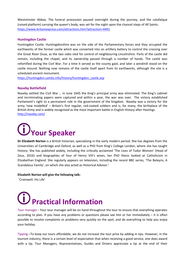Westminster Abbey. The funeral procession paused overnight during the journey, and the catafalque (raised platform) carrying the queen's body, was set for the night upon the chancel steps of All Saints. <https://www.britainexpress.com/attractions.htm?attraction=4491>

#### **Huntingdon Castle**

Huntingdon Castle. Huntingdonshire was on the side of the Parliamentary forces and they occupied the earthworks of the former castle which was converted into an artillery battery to control the crossing over the Great River Ouse, as the two sides vied for control of neighbouring Lincolnshire. Parts of the castle did remain, including the chapel, and its ownership passed through a number of hands. The castle was refortified during the Civil War. For a time it served as the county gaol, and later a windmill stood on the castle mound. Nothing now remains of the castle itself apart from its earthworks, although the site is a scheduled ancient monument.

[https://huntingdon.cambs.info/history/huntingdon\\_castle.asp](https://huntingdon.cambs.info/history/huntingdon_castle.asp)

#### **Naseby Battlefield**

Naseby settled the Civil War … in June 1645 the King's principal army was eliminated. The King's cabinet and incriminating papers were captured and within a year, the war was over. The victory established Parliament's right to a permanent role in the government of the kingdom. Naseby was a victory for the army 'new modelled' – Britain's first regular, red-coated soldiers and is, for many, the birthplace of the British Army and is widely recognised as the most important battle in English History after Hastings. <http://naseby.com/>

## **Your Speaker**

**Dr Elizabeth Norton** is a British historian, specialising in the early modern period. She has degrees from the Universities of Cambridge and Oxford, as well as a PhD from King's College London, where she has taught History. She has published widely, including the critically acclaimed 'The Lives of Tudor Women' (Head of Zeus, 2016) and biographies of four of Henry VIII's wives, her PhD thesis looked at Catholicism in Elizabethan England. She regularly appears on television, including the recent BBC series, 'The Boleyns, A Scandalous Family', on which she also acted as Historical Advisor.'

#### **Elizabeth Norton will give the following talk:**

'Cromwell: His Life'

## **Practical Information**

Tour manager **-** Your tour manager will be on hand throughout the tour to ensure that everything operates according to plan. If you have any problems or questions please see him or her immediately – it is often possible to resolve complaints or problems very quickly on the spot, and do everything to help you enjoy your holiday.

Tipping –To keep our tours affordable, we do not increase the tour price by adding in tips. However, in the tourism industry, there is a certain level of expectation that when receiving a good service, one does award with a tip. Tour Managers, Representatives, Guides and Drivers appreciate a tip at the end of their